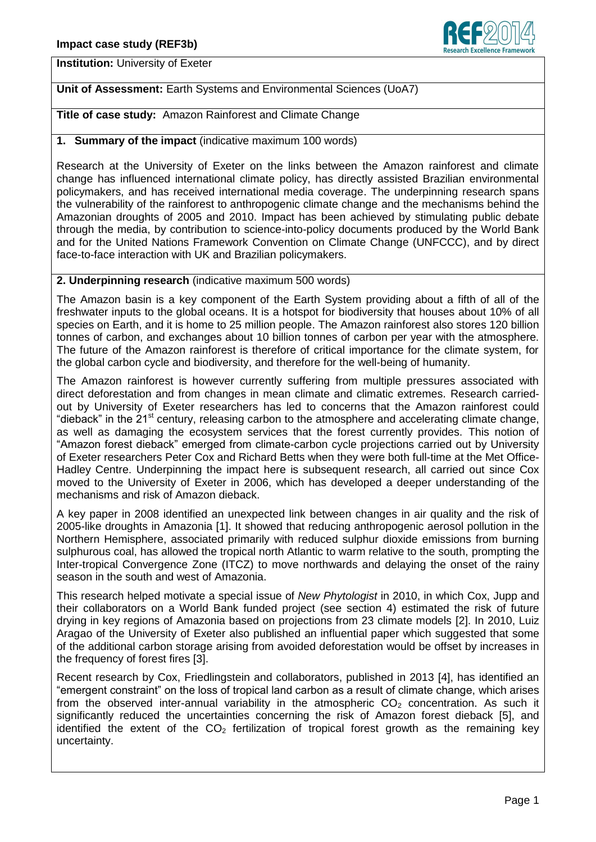

**Institution:** University of Exeter

## **Unit of Assessment:** Earth Systems and Environmental Sciences (UoA7)

**Title of case study:** Amazon Rainforest and Climate Change

## **1. Summary of the impact** (indicative maximum 100 words)

Research at the University of Exeter on the links between the Amazon rainforest and climate change has influenced international climate policy, has directly assisted Brazilian environmental policymakers, and has received international media coverage. The underpinning research spans the vulnerability of the rainforest to anthropogenic climate change and the mechanisms behind the Amazonian droughts of 2005 and 2010. Impact has been achieved by stimulating public debate through the media, by contribution to science-into-policy documents produced by the World Bank and for the United Nations Framework Convention on Climate Change (UNFCCC), and by direct face-to-face interaction with UK and Brazilian policymakers.

#### **2. Underpinning research** (indicative maximum 500 words)

The Amazon basin is a key component of the Earth System providing about a fifth of all of the freshwater inputs to the global oceans. It is a hotspot for biodiversity that houses about 10% of all species on Earth, and it is home to 25 million people. The Amazon rainforest also stores 120 billion tonnes of carbon, and exchanges about 10 billion tonnes of carbon per year with the atmosphere. The future of the Amazon rainforest is therefore of critical importance for the climate system, for the global carbon cycle and biodiversity, and therefore for the well-being of humanity.

The Amazon rainforest is however currently suffering from multiple pressures associated with direct deforestation and from changes in mean climate and climatic extremes. Research carriedout by University of Exeter researchers has led to concerns that the Amazon rainforest could "dieback" in the 21<sup>st</sup> century, releasing carbon to the atmosphere and accelerating climate change, as well as damaging the ecosystem services that the forest currently provides. This notion of "Amazon forest dieback" emerged from climate-carbon cycle projections carried out by University of Exeter researchers Peter Cox and Richard Betts when they were both full-time at the Met Office-Hadley Centre. Underpinning the impact here is subsequent research, all carried out since Cox moved to the University of Exeter in 2006, which has developed a deeper understanding of the mechanisms and risk of Amazon dieback.

A key paper in 2008 identified an unexpected link between changes in air quality and the risk of 2005-like droughts in Amazonia [1]. It showed that reducing anthropogenic aerosol pollution in the Northern Hemisphere, associated primarily with reduced sulphur dioxide emissions from burning sulphurous coal, has allowed the tropical north Atlantic to warm relative to the south, prompting the Inter-tropical Convergence Zone (ITCZ) to move northwards and delaying the onset of the rainy season in the south and west of Amazonia.

This research helped motivate a special issue of *New Phytologist* in 2010, in which Cox, Jupp and their collaborators on a World Bank funded project (see section 4) estimated the risk of future drying in key regions of Amazonia based on projections from 23 climate models [2]. In 2010, Luiz Aragao of the University of Exeter also published an influential paper which suggested that some of the additional carbon storage arising from avoided deforestation would be offset by increases in the frequency of forest fires [3].

Recent research by Cox, Friedlingstein and collaborators, published in 2013 [4], has identified an "emergent constraint" on the loss of tropical land carbon as a result of climate change, which arises from the observed inter-annual variability in the atmospheric  $CO<sub>2</sub>$  concentration. As such it significantly reduced the uncertainties concerning the risk of Amazon forest dieback [5], and identified the extent of the  $CO<sub>2</sub>$  fertilization of tropical forest growth as the remaining key uncertainty.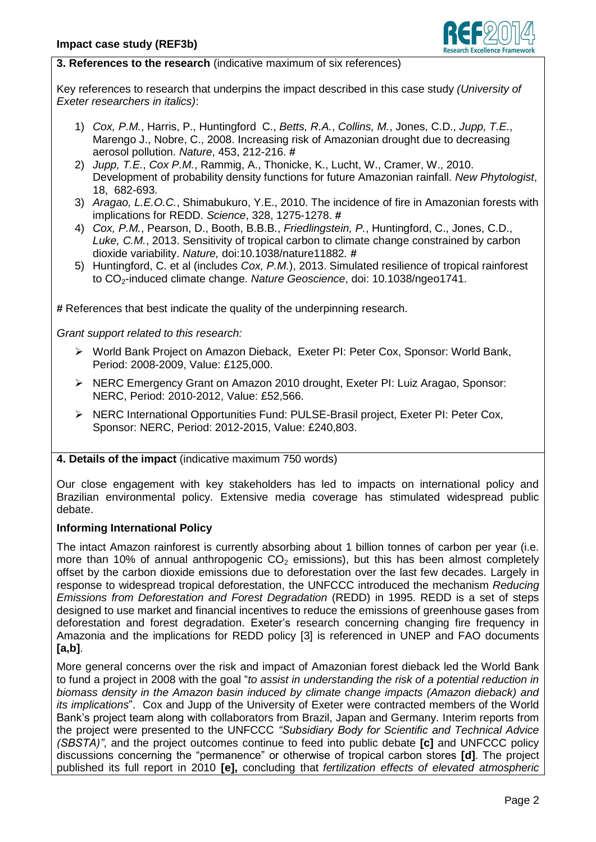

## **3. References to the research** (indicative maximum of six references)

Key references to research that underpins the impact described in this case study *(University of Exeter researchers in italics)*:

- 1) *Cox, P.M.*, Harris, P., Huntingford C., *Betts, R.A.*, *Collins, M.*, Jones, C.D., *Jupp, T.E.*, Marengo J., Nobre, C., 2008. Increasing risk of Amazonian drought due to decreasing aerosol pollution. *Nature*, 453, 212-216. **#**
- 2) *Jupp, T.E.*, *Cox P.M.*, Rammig, A., Thonicke, K., Lucht, W., Cramer, W., 2010. Development of probability density functions for future Amazonian rainfall. *New Phytologist*, 18, 682-693.
- 3) *Aragao, L.E.O.C.*, Shimabukuro, Y.E., 2010. The incidence of fire in Amazonian forests with implications for REDD. *Science*, 328, 1275-1278. **#**
- 4) *Cox, P.M.*, Pearson, D., Booth, B.B.B., *Friedlingstein, P.*, Huntingford, C., Jones, C.D., *Luke, C.M.*, 2013. Sensitivity of tropical carbon to climate change constrained by carbon dioxide variability. *Nature,* doi:10.1038/nature11882*. #*
- 5) Huntingford, C. et al (includes *Cox, P.M.*), 2013. Simulated resilience of tropical rainforest to CO2-induced climate change. *Nature Geoscience*, doi: 10.1038/ngeo1741.

**#** References that best indicate the quality of the underpinning research.

*Grant support related to this research:* 

- World Bank Project on Amazon Dieback, Exeter PI: Peter Cox, Sponsor: World Bank, Period: 2008-2009, Value: £125,000.
- NERC Emergency Grant on Amazon 2010 drought, Exeter PI: Luiz Aragao, Sponsor: NERC, Period: 2010-2012, Value: £52,566.
- NERC International Opportunities Fund: PULSE-Brasil project, Exeter PI: Peter Cox, Sponsor: NERC, Period: 2012-2015, Value: £240,803.

### **4. Details of the impact** (indicative maximum 750 words)

Our close engagement with key stakeholders has led to impacts on international policy and Brazilian environmental policy. Extensive media coverage has stimulated widespread public debate.

### **Informing International Policy**

The intact Amazon rainforest is currently absorbing about 1 billion tonnes of carbon per year (i.e. more than 10% of annual anthropogenic  $CO<sub>2</sub>$  emissions), but this has been almost completely offset by the carbon dioxide emissions due to deforestation over the last few decades. Largely in response to widespread tropical deforestation, the UNFCCC introduced the mechanism *Reducing Emissions from Deforestation and Forest Degradation* (REDD) in 1995. REDD is a set of steps designed to use market and financial incentives to reduce the emissions of greenhouse gases from deforestation and forest degradation. Exeter's research concerning changing fire frequency in Amazonia and the implications for REDD policy [3] is referenced in UNEP and FAO documents **[a,b]**.

More general concerns over the risk and impact of Amazonian forest dieback led the World Bank to fund a project in 2008 with the goal "*to assist in understanding the risk of a potential reduction in biomass density in the Amazon basin induced by climate change impacts (Amazon dieback) and its implications*". Cox and Jupp of the University of Exeter were contracted members of the World Bank's project team along with collaborators from Brazil, Japan and Germany. Interim reports from the project were presented to the UNFCCC *"Subsidiary Body for Scientific and Technical Advice (SBSTA)"*, and the project outcomes continue to feed into public debate **[c]** and UNFCCC policy discussions concerning the "permanence" or otherwise of tropical carbon stores **[d]**. The project published its full report in 2010 **[e],** concluding that *fertilization effects of elevated atmospheric*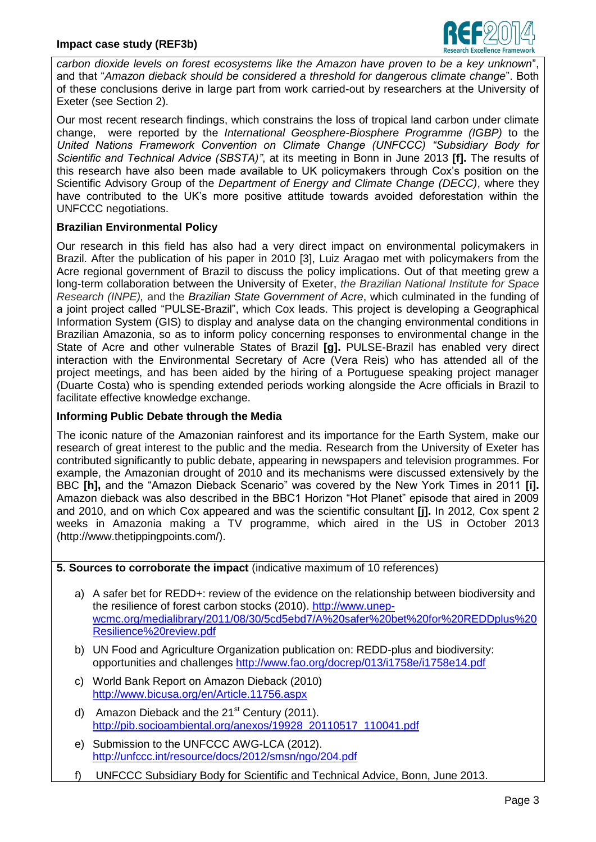

*carbon dioxide levels on forest ecosystems like the Amazon have proven to be a key unknown*", and that "*Amazon dieback should be considered a threshold for dangerous climate change*". Both of these conclusions derive in large part from work carried-out by researchers at the University of Exeter (see Section 2).

Our most recent research findings, which constrains the loss of tropical land carbon under climate change, were reported by the *International Geosphere-Biosphere Programme (IGBP)* to the *United Nations Framework Convention on Climate Change (UNFCCC) "Subsidiary Body for Scientific and Technical Advice (SBSTA)"*, at its meeting in Bonn in June 2013 **[f].** The results of this research have also been made available to UK policymakers through Cox's position on the Scientific Advisory Group of the *Department of Energy and Climate Change (DECC)*, where they have contributed to the UK's more positive attitude towards avoided deforestation within the UNFCCC negotiations.

### **Brazilian Environmental Policy**

Our research in this field has also had a very direct impact on environmental policymakers in Brazil. After the publication of his paper in 2010 [3], Luiz Aragao met with policymakers from the Acre regional government of Brazil to discuss the policy implications. Out of that meeting grew a long-term collaboration between the University of Exeter, *the Brazilian National Institute for Space Research (INPE),* and the *Brazilian State Government of Acre*, which culminated in the funding of a joint project called "PULSE-Brazil", which Cox leads. This project is developing a Geographical Information System (GIS) to display and analyse data on the changing environmental conditions in Brazilian Amazonia, so as to inform policy concerning responses to environmental change in the State of Acre and other vulnerable States of Brazil **[g].** PULSE-Brazil has enabled very direct interaction with the Environmental Secretary of Acre (Vera Reis) who has attended all of the project meetings, and has been aided by the hiring of a Portuguese speaking project manager (Duarte Costa) who is spending extended periods working alongside the Acre officials in Brazil to facilitate effective knowledge exchange.

# **Informing Public Debate through the Media**

The iconic nature of the Amazonian rainforest and its importance for the Earth System, make our research of great interest to the public and the media. Research from the University of Exeter has contributed significantly to public debate, appearing in newspapers and television programmes. For example, the Amazonian drought of 2010 and its mechanisms were discussed extensively by the BBC **[h],** and the "Amazon Dieback Scenario" was covered by the New York Times in 2011 **[i].**  Amazon dieback was also described in the BBC1 Horizon "Hot Planet" episode that aired in 2009 and 2010, and on which Cox appeared and was the scientific consultant **[j].** In 2012, Cox spent 2 weeks in Amazonia making a TV programme, which aired in the US in October 2013 (http://www.thetippingpoints.com/).

**5. Sources to corroborate the impact** (indicative maximum of 10 references)

- a) A safer bet for REDD+: review of the evidence on the relationship between biodiversity and the resilience of forest carbon stocks (2010). [http://www.unep](http://www.unep-wcmc.org/medialibrary/2011/08/30/5cd5ebd7/A%20safer%20bet%20for%20REDDplus%20Resilience%20review.pdf)[wcmc.org/medialibrary/2011/08/30/5cd5ebd7/A%20safer%20bet%20for%20REDDplus%20](http://www.unep-wcmc.org/medialibrary/2011/08/30/5cd5ebd7/A%20safer%20bet%20for%20REDDplus%20Resilience%20review.pdf) [Resilience%20review.pdf](http://www.unep-wcmc.org/medialibrary/2011/08/30/5cd5ebd7/A%20safer%20bet%20for%20REDDplus%20Resilience%20review.pdf)
- b) UN Food and Agriculture Organization publication on: REDD-plus and biodiversity: opportunities and challenges<http://www.fao.org/docrep/013/i1758e/i1758e14.pdf>
- c) World Bank Report on Amazon Dieback (2010) <http://www.bicusa.org/en/Article.11756.aspx>
- d) Amazon Dieback and the  $21<sup>st</sup>$  Century (2011). [http://pib.socioambiental.org/anexos/19928\\_20110517\\_110041.pdf](http://pib.socioambiental.org/anexos/19928_20110517_110041.pdf)
- e) Submission to the UNFCCC AWG-LCA (2012). <http://unfccc.int/resource/docs/2012/smsn/ngo/204.pdf>
- f) UNFCCC Subsidiary Body for Scientific and Technical Advice, Bonn, June 2013.